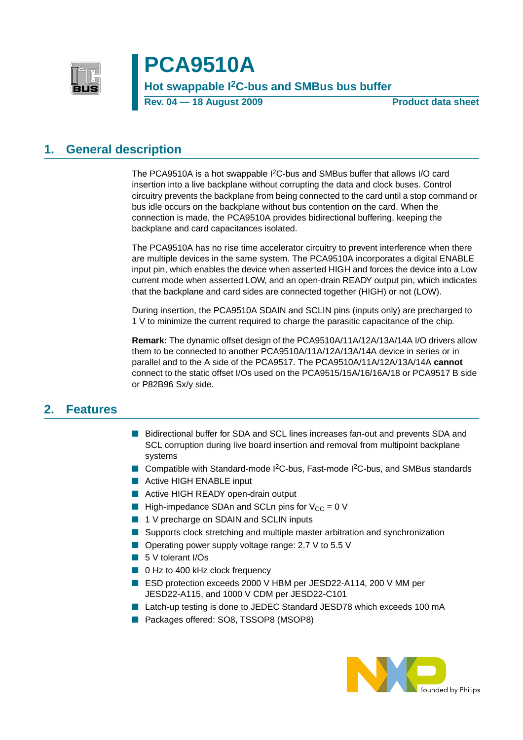

# **PCA9510A**

**Hot swappable I2C-bus and SMBus bus buffer**

**Rev. 04 – 18 August 2009** Product data sheet

### <span id="page-0-0"></span>**1. General description**

The PCA9510A is a hot swappable I<sup>2</sup>C-bus and SMBus buffer that allows I/O card insertion into a live backplane without corrupting the data and clock buses. Control circuitry prevents the backplane from being connected to the card until a stop command or bus idle occurs on the backplane without bus contention on the card. When the connection is made, the PCA9510A provides bidirectional buffering, keeping the backplane and card capacitances isolated.

The PCA9510A has no rise time accelerator circuitry to prevent interference when there are multiple devices in the same system. The PCA9510A incorporates a digital ENABLE input pin, which enables the device when asserted HIGH and forces the device into a Low current mode when asserted LOW, and an open-drain READY output pin, which indicates that the backplane and card sides are connected together (HIGH) or not (LOW).

During insertion, the PCA9510A SDAIN and SCLIN pins (inputs only) are precharged to 1 V to minimize the current required to charge the parasitic capacitance of the chip.

**Remark:** The dynamic offset design of the PCA9510A/11A/12A/13A/14A I/O drivers allow them to be connected to another PCA9510A/11A/12A/13A/14A device in series or in parallel and to the A side of the PCA9517. The PCA9510A/11A/12A/13A/14A **cannot** connect to the static offset I/Os used on the PCA9515/15A/16/16A/18 or PCA9517 B side or P82B96 Sx/y side.

### <span id="page-0-1"></span>**2. Features**

- Bidirectional buffer for SDA and SCL lines increases fan-out and prevents SDA and SCL corruption during live board insertion and removal from multipoint backplane systems
- Compatible with Standard-mode I<sup>2</sup>C-bus, Fast-mode I<sup>2</sup>C-bus, and SMBus standards
- Active HIGH ENABLE input
- Active HIGH READY open-drain output
- **E** High-impedance SDAn and SCLn pins for  $V_{CC} = 0$  V
- 1 V precharge on SDAIN and SCLIN inputs
- Supports clock stretching and multiple master arbitration and synchronization
- Operating power supply voltage range: 2.7 V to 5.5 V
- 5 V tolerant I/Os
- 0 Hz to 400 kHz clock frequency
- ESD protection exceeds 2000 V HBM per JESD22-A114, 200 V MM per JESD22-A115, and 1000 V CDM per JESD22-C101
- Latch-up testing is done to JEDEC Standard JESD78 which exceeds 100 mA
- Packages offered: SO8, TSSOP8 (MSOP8)

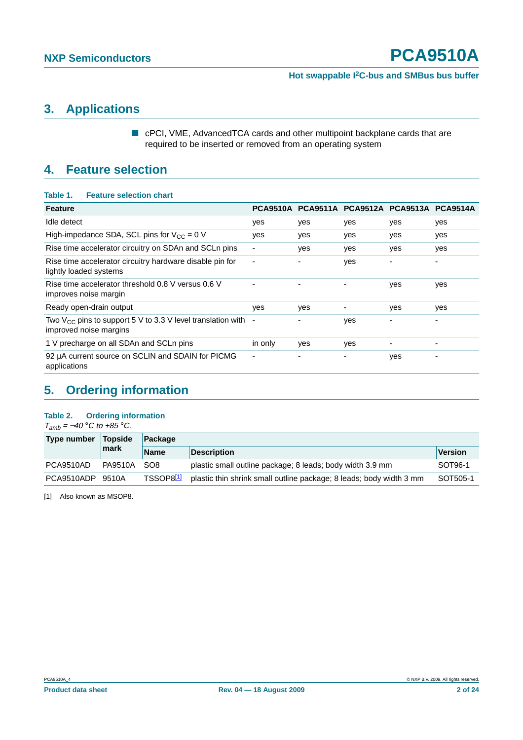# <span id="page-1-1"></span>**3. Applications**

■ cPCI, VME, AdvancedTCA cards and other multipoint backplane cards that are required to be inserted or removed from an operating system

### <span id="page-1-2"></span>**4. Feature selection**

#### **Table 1. Feature selection chart**

| <b>Feature</b>                                                                               |         |     |     | PCA9510A PCA9511A PCA9512A PCA9513A PCA9514A |     |
|----------------------------------------------------------------------------------------------|---------|-----|-----|----------------------------------------------|-----|
| Idle detect                                                                                  | yes     | yes | yes | yes                                          | yes |
| High-impedance SDA, SCL pins for $V_{CC} = 0$ V                                              | yes     | yes | yes | yes                                          | yes |
| Rise time accelerator circuitry on SDAn and SCLn pins                                        |         | yes | yes | yes                                          | yes |
| Rise time accelerator circuitry hardware disable pin for<br>lightly loaded systems           | ٠       |     | yes |                                              | ۰   |
| Rise time accelerator threshold 0.8 V versus 0.6 V<br>improves noise margin                  |         |     |     | yes                                          | yes |
| Ready open-drain output                                                                      | yes     | yes |     | yes                                          | yes |
| Two $V_{CC}$ pins to support 5 V to 3.3 V level translation with -<br>improved noise margins |         |     | yes | ۰                                            | ۰   |
| 1 V precharge on all SDAn and SCLn pins                                                      | in only | yes | yes |                                              |     |
| 92 µA current source on SCLIN and SDAIN for PICMG<br>applications                            | ٠       |     |     | yes                                          |     |

# <span id="page-1-3"></span>**5. Ordering information**

#### **Table 2. Ordering information**

 $T_{amb} = -40$  °C to +85 °C.

| Topside<br>Type number |                | <b>Package</b>        |                                                                     |          |  |  |  |
|------------------------|----------------|-----------------------|---------------------------------------------------------------------|----------|--|--|--|
|                        | mark           | <b>Name</b>           | <b>Description</b>                                                  | Version  |  |  |  |
| PCA9510AD              | <b>PA9510A</b> | SO <sub>8</sub>       | plastic small outline package; 8 leads; body width 3.9 mm           | SOT96-1  |  |  |  |
| PCA9510ADP             | 9510A          | TSSOP8 <sup>[1]</sup> | plastic thin shrink small outline package; 8 leads; body width 3 mm | SOT505-1 |  |  |  |

<span id="page-1-0"></span>[1] Also known as MSOP8.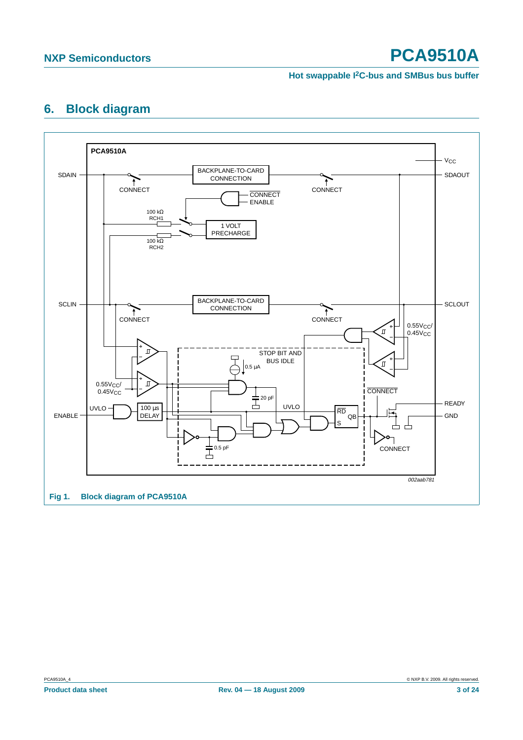#### **Hot swappable I2C-bus and SMBus bus buffer**

# <span id="page-2-1"></span>**6. Block diagram**

<span id="page-2-0"></span>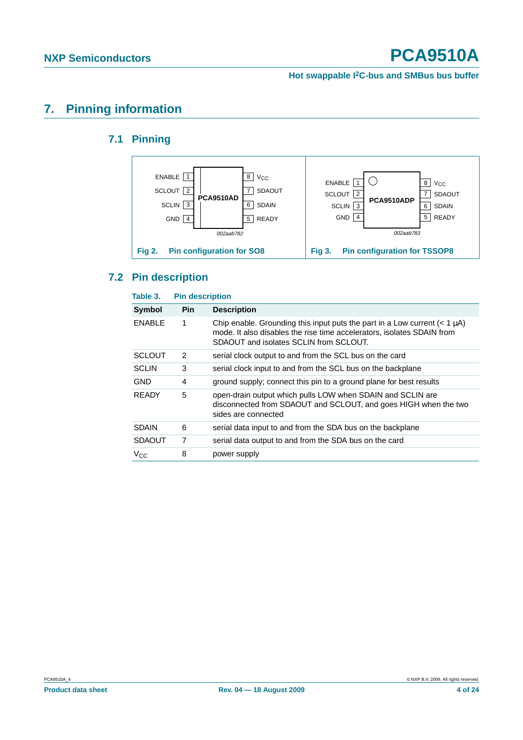**Hot swappable I2C-bus and SMBus bus buffer**

# <span id="page-3-1"></span><span id="page-3-0"></span>**7. Pinning information**

### **7.1 Pinning**



### <span id="page-3-2"></span>**7.2 Pin description**

| Table 3.      | <b>Pin description</b> |                                                                                                                                                                                                    |
|---------------|------------------------|----------------------------------------------------------------------------------------------------------------------------------------------------------------------------------------------------|
| Symbol        | <b>Pin</b>             | <b>Description</b>                                                                                                                                                                                 |
| <b>ENABLE</b> | 1                      | Chip enable. Grounding this input puts the part in a Low current $(< 1 \mu A)$<br>mode. It also disables the rise time accelerators, isolates SDAIN from<br>SDAOUT and isolates SCLIN from SCLOUT. |
| <b>SCLOUT</b> | 2                      | serial clock output to and from the SCL bus on the card                                                                                                                                            |
| <b>SCLIN</b>  | 3                      | serial clock input to and from the SCL bus on the backplane                                                                                                                                        |
| <b>GND</b>    | 4                      | ground supply; connect this pin to a ground plane for best results                                                                                                                                 |
| <b>READY</b>  | 5                      | open-drain output which pulls LOW when SDAIN and SCLIN are<br>disconnected from SDAOUT and SCLOUT, and goes HIGH when the two<br>sides are connected                                               |
| <b>SDAIN</b>  | 6                      | serial data input to and from the SDA bus on the backplane                                                                                                                                         |
| <b>SDAOUT</b> | 7                      | serial data output to and from the SDA bus on the card                                                                                                                                             |
| $V_{\rm CC}$  | 8                      | power supply                                                                                                                                                                                       |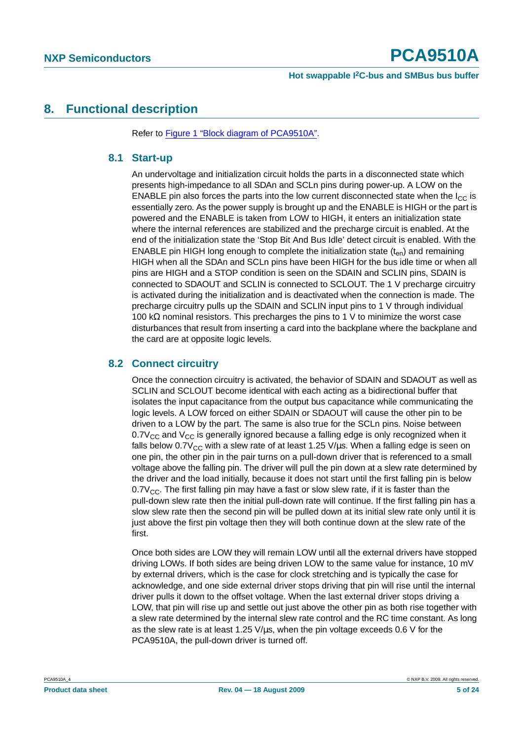### <span id="page-4-1"></span><span id="page-4-0"></span>**8. Functional description**

Refer to [Figure 1 "Block diagram of PCA9510A".](#page-2-0)

#### **8.1 Start-up**

An undervoltage and initialization circuit holds the parts in a disconnected state which presents high-impedance to all SDAn and SCLn pins during power-up. A LOW on the ENABLE pin also forces the parts into the low current disconnected state when the  $I_{\rm CC}$  is essentially zero. As the power supply is brought up and the ENABLE is HIGH or the part is powered and the ENABLE is taken from LOW to HIGH, it enters an initialization state where the internal references are stabilized and the precharge circuit is enabled. At the end of the initialization state the 'Stop Bit And Bus Idle' detect circuit is enabled. With the ENABLE pin HIGH long enough to complete the initialization state  $(t_{en})$  and remaining HIGH when all the SDAn and SCLn pins have been HIGH for the bus idle time or when all pins are HIGH and a STOP condition is seen on the SDAIN and SCLIN pins, SDAIN is connected to SDAOUT and SCLIN is connected to SCLOUT. The 1 V precharge circuitry is activated during the initialization and is deactivated when the connection is made. The precharge circuitry pulls up the SDAIN and SCLIN input pins to 1 V through individual 100 kΩ nominal resistors. This precharges the pins to 1 V to minimize the worst case disturbances that result from inserting a card into the backplane where the backplane and the card are at opposite logic levels.

#### <span id="page-4-2"></span>**8.2 Connect circuitry**

Once the connection circuitry is activated, the behavior of SDAIN and SDAOUT as well as SCLIN and SCLOUT become identical with each acting as a bidirectional buffer that isolates the input capacitance from the output bus capacitance while communicating the logic levels. A LOW forced on either SDAIN or SDAOUT will cause the other pin to be driven to a LOW by the part. The same is also true for the SCLn pins. Noise between  $0.7V_{CC}$  and  $V_{CC}$  is generally ignored because a falling edge is only recognized when it falls below  $0.7V_{CC}$  with a slew rate of at least 1.25 V/ $\mu$ s. When a falling edge is seen on one pin, the other pin in the pair turns on a pull-down driver that is referenced to a small voltage above the falling pin. The driver will pull the pin down at a slew rate determined by the driver and the load initially, because it does not start until the first falling pin is below  $0.7V_{CC}$ . The first falling pin may have a fast or slow slew rate, if it is faster than the pull-down slew rate then the initial pull-down rate will continue. If the first falling pin has a slow slew rate then the second pin will be pulled down at its initial slew rate only until it is just above the first pin voltage then they will both continue down at the slew rate of the first.

Once both sides are LOW they will remain LOW until all the external drivers have stopped driving LOWs. If both sides are being driven LOW to the same value for instance, 10 mV by external drivers, which is the case for clock stretching and is typically the case for acknowledge, and one side external driver stops driving that pin will rise until the internal driver pulls it down to the offset voltage. When the last external driver stops driving a LOW, that pin will rise up and settle out just above the other pin as both rise together with a slew rate determined by the internal slew rate control and the RC time constant. As long as the slew rate is at least 1.25 V/µs, when the pin voltage exceeds 0.6 V for the PCA9510A, the pull-down driver is turned off.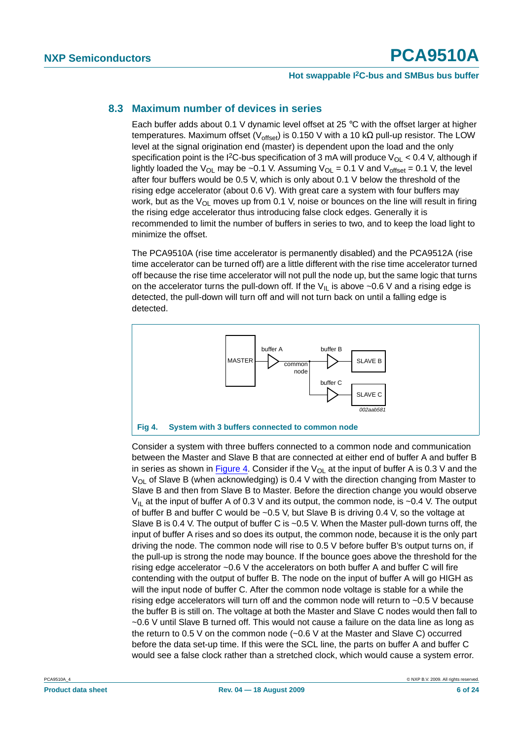#### <span id="page-5-1"></span>**8.3 Maximum number of devices in series**

Each buffer adds about 0.1 V dynamic level offset at 25 °C with the offset larger at higher temperatures. Maximum offset (V<sub>offset</sub>) is 0.150 V with a 10 kΩ pull-up resistor. The LOW level at the signal origination end (master) is dependent upon the load and the only specification point is the I<sup>2</sup>C-bus specification of 3 mA will produce  $V_{OL}$  < 0.4 V, although if lightly loaded the V<sub>OL</sub> may be ~0.1 V. Assuming V<sub>OL</sub> = 0.1 V and V<sub>offset</sub> = 0.1 V, the level after four buffers would be 0.5 V, which is only about 0.1 V below the threshold of the rising edge accelerator (about 0.6 V). With great care a system with four buffers may work, but as the  $V_{\text{OI}}$  moves up from 0.1 V, noise or bounces on the line will result in firing the rising edge accelerator thus introducing false clock edges. Generally it is recommended to limit the number of buffers in series to two, and to keep the load light to minimize the offset.

The PCA9510A (rise time accelerator is permanently disabled) and the PCA9512A (rise time accelerator can be turned off) are a little different with the rise time accelerator turned off because the rise time accelerator will not pull the node up, but the same logic that turns on the accelerator turns the pull-down off. If the  $V_{II}$  is above ~0.6 V and a rising edge is detected, the pull-down will turn off and will not turn back on until a falling edge is detected.



<span id="page-5-0"></span>Consider a system with three buffers connected to a common node and communication between the Master and Slave B that are connected at either end of buffer A and buffer B in series as shown in [Figure](#page-5-0) 4. Consider if the  $V_{\text{Ol}}$  at the input of buffer A is 0.3 V and the  $V_{OL}$  of Slave B (when acknowledging) is 0.4 V with the direction changing from Master to Slave B and then from Slave B to Master. Before the direction change you would observe  $V_{II}$  at the input of buffer A of 0.3 V and its output, the common node, is ~0.4 V. The output of buffer B and buffer C would be  $\sim$  0.5 V, but Slave B is driving 0.4 V, so the voltage at Slave B is 0.4 V. The output of buffer C is ~0.5 V. When the Master pull-down turns off, the input of buffer A rises and so does its output, the common node, because it is the only part driving the node. The common node will rise to 0.5 V before buffer B's output turns on, if the pull-up is strong the node may bounce. If the bounce goes above the threshold for the rising edge accelerator ~0.6 V the accelerators on both buffer A and buffer C will fire contending with the output of buffer B. The node on the input of buffer A will go HIGH as will the input node of buffer C. After the common node voltage is stable for a while the rising edge accelerators will turn off and the common node will return to ~0.5 V because the buffer B is still on. The voltage at both the Master and Slave C nodes would then fall to ~0.6 V until Slave B turned off. This would not cause a failure on the data line as long as the return to 0.5 V on the common node (~0.6 V at the Master and Slave C) occurred before the data set-up time. If this were the SCL line, the parts on buffer A and buffer C would see a false clock rather than a stretched clock, which would cause a system error.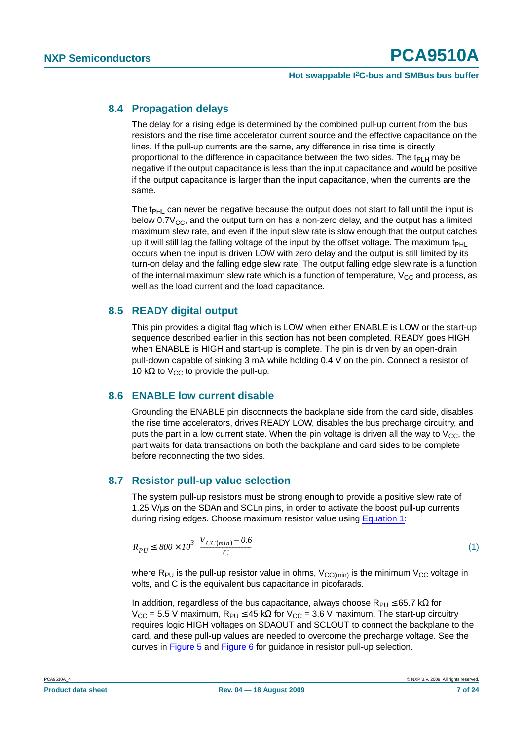#### <span id="page-6-2"></span>**8.4 Propagation delays**

The delay for a rising edge is determined by the combined pull-up current from the bus resistors and the rise time accelerator current source and the effective capacitance on the lines. If the pull-up currents are the same, any difference in rise time is directly proportional to the difference in capacitance between the two sides. The  $t_{\text{PI H}}$  may be negative if the output capacitance is less than the input capacitance and would be positive if the output capacitance is larger than the input capacitance, when the currents are the same.

The  $t_{PHL}$  can never be negative because the output does not start to fall until the input is below  $0.7V_{CC}$ , and the output turn on has a non-zero delay, and the output has a limited maximum slew rate, and even if the input slew rate is slow enough that the output catches up it will still lag the falling voltage of the input by the offset voltage. The maximum t<sub>PHL</sub> occurs when the input is driven LOW with zero delay and the output is still limited by its turn-on delay and the falling edge slew rate. The output falling edge slew rate is a function of the internal maximum slew rate which is a function of temperature,  $V_{CC}$  and process, as well as the load current and the load capacitance.

#### <span id="page-6-3"></span>**8.5 READY digital output**

This pin provides a digital flag which is LOW when either ENABLE is LOW or the start-up sequence described earlier in this section has not been completed. READY goes HIGH when ENABLE is HIGH and start-up is complete. The pin is driven by an open-drain pull-down capable of sinking 3 mA while holding 0.4 V on the pin. Connect a resistor of 10 kΩ to V<sub>CC</sub> to provide the pull-up.

#### <span id="page-6-4"></span>**8.6 ENABLE low current disable**

Grounding the ENABLE pin disconnects the backplane side from the card side, disables the rise time accelerators, drives READY LOW, disables the bus precharge circuitry, and puts the part in a low current state. When the pin voltage is driven all the way to  $V_{CC}$ , the part waits for data transactions on both the backplane and card sides to be complete before reconnecting the two sides.

#### <span id="page-6-1"></span>**8.7 Resistor pull-up value selection**

The system pull-up resistors must be strong enough to provide a positive slew rate of 1.25 V/µs on the SDAn and SCLn pins, in order to activate the boost pull-up currents during rising edges. Choose maximum resistor value using [Equation](#page-6-0) 1:

<span id="page-6-0"></span>
$$
R_{PU} \le 800 \times 10^3 \left( \frac{V_{CC(min)} - 0.6}{C} \right) \tag{1}
$$

where  $R_{PU}$  is the pull-up resistor value in ohms,  $V_{CC(min)}$  is the minimum  $V_{CC}$  voltage in volts, and C is the equivalent bus capacitance in picofarads.

In addition, regardless of the bus capacitance, always choose  $R_{PU} \le 65.7$  k $\Omega$  for  $V_{CC}$  = 5.5 V maximum,  $R_{PU}$  ≤ 45 kΩ for  $V_{CC}$  = 3.6 V maximum. The start-up circuitry requires logic HIGH voltages on SDAOUT and SCLOUT to connect the backplane to the card, and these pull-up values are needed to overcome the precharge voltage. See the curves in [Figure](#page-7-0) 5 and [Figure](#page-7-1) 6 for guidance in resistor pull-up selection.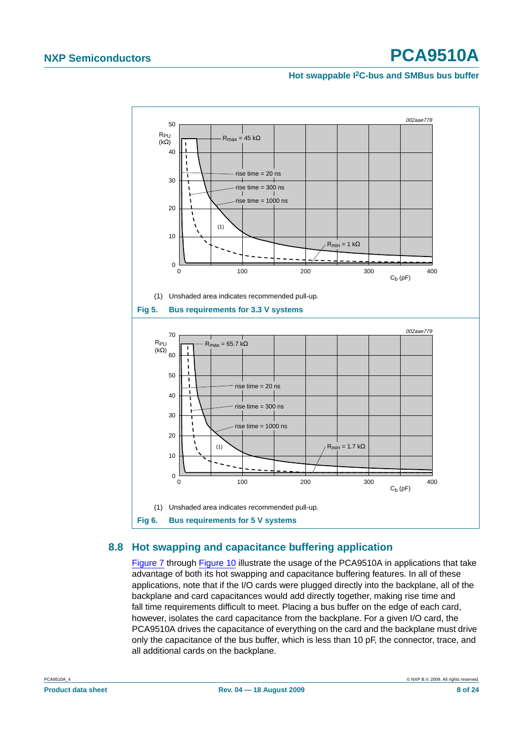#### **Hot swappable I2C-bus and SMBus bus buffer**

<span id="page-7-0"></span>

### <span id="page-7-2"></span><span id="page-7-1"></span>**8.8 Hot swapping and capacitance buffering application**

[Figure](#page-8-0) 7 through [Figure](#page-10-0) 10 illustrate the usage of the PCA9510A in applications that take advantage of both its hot swapping and capacitance buffering features. In all of these applications, note that if the I/O cards were plugged directly into the backplane, all of the backplane and card capacitances would add directly together, making rise time and fall time requirements difficult to meet. Placing a bus buffer on the edge of each card, however, isolates the card capacitance from the backplane. For a given I/O card, the PCA9510A drives the capacitance of everything on the card and the backplane must drive only the capacitance of the bus buffer, which is less than 10 pF, the connector, trace, and all additional cards on the backplane.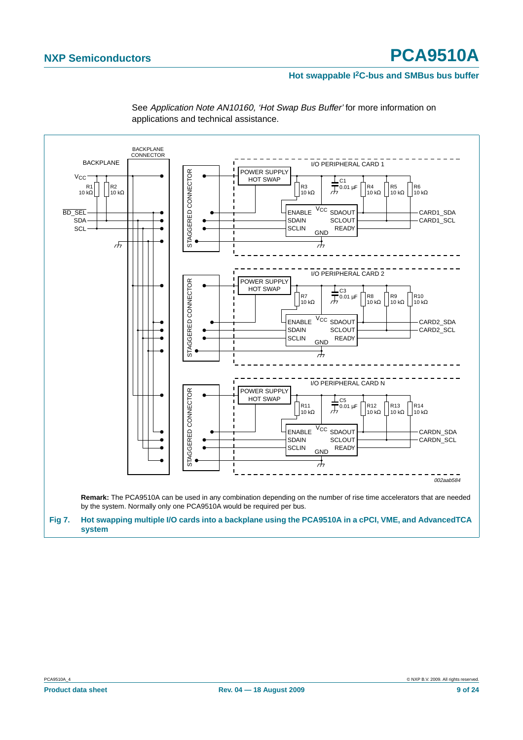#### **Hot swappable I2C-bus and SMBus bus buffer**

<span id="page-8-0"></span>

See Application Note AN10160, 'Hot Swap Bus Buffer' for more information on applications and technical assistance.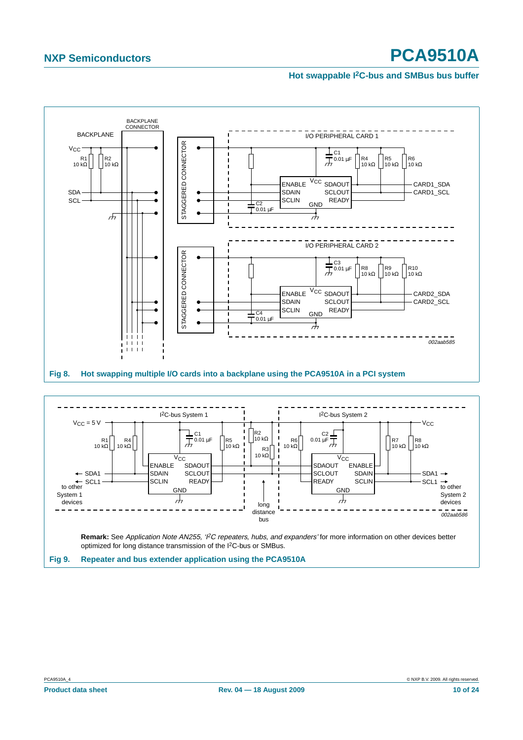#### **Hot swappable I2C-bus and SMBus bus buffer**



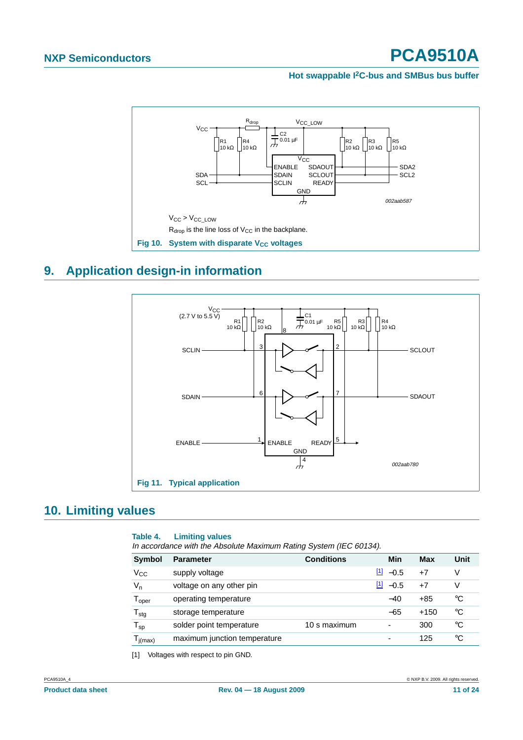#### **Hot swappable I2C-bus and SMBus bus buffer**



# <span id="page-10-2"></span>**9. Application design-in information**

<span id="page-10-0"></span>

# <span id="page-10-3"></span>**10. Limiting values**

#### **Table 4. Limiting values**

In accordance with the Absolute Maximum Rating System (IEC 60134).

| <b>Symbol</b>                | <b>Parameter</b>             | <b>Conditions</b> | Min             | Max    | Unit        |
|------------------------------|------------------------------|-------------------|-----------------|--------|-------------|
| Vcc                          | supply voltage               |                   | $[1] -0.5$      | $+7$   | V           |
| $V_{n}$                      | voltage on any other pin     |                   | $[1]$<br>$-0.5$ | $+7$   | V           |
| $\mathsf{T}_{\mathsf{oper}}$ | operating temperature        |                   | $-40$           | $+85$  | °C          |
| ${\mathsf T}_{\text{stg}}$   | storage temperature          |                   | $-65$           | $+150$ | °C          |
| ${\sf T}_{\sf sp}$           | solder point temperature     | 10 s maximum      | ٠               | 300    | $^{\circ}C$ |
| $T_{j(max)}$                 | maximum junction temperature |                   | ۰               | 125    | °C          |

<span id="page-10-1"></span>[1] Voltages with respect to pin GND.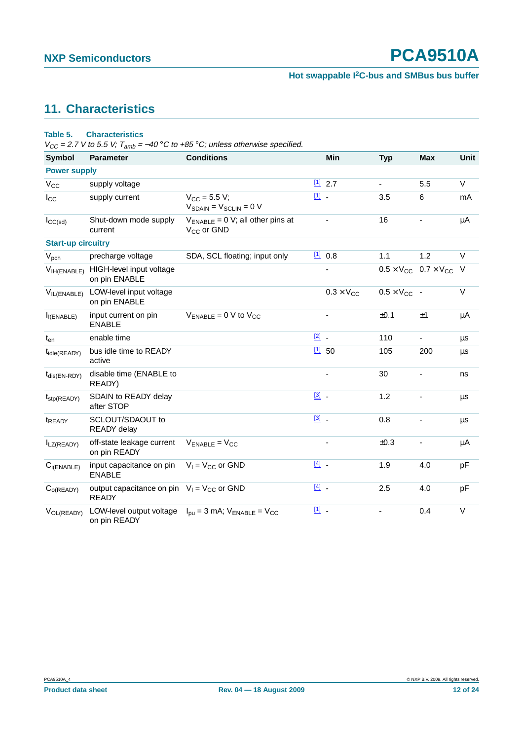# <span id="page-11-0"></span>**11. Characteristics**

#### **Table 5. Characteristics**

 $V_{CC}$  = 2.7 V to 5.5 V;  $T_{amb}$  = -40 °C to +85 °C; unless otherwise specified.

| <b>Symbol</b>                  | <b>Parameter</b>                                                | <b>Conditions</b>                                             |               | Min                          | <b>Typ</b>            | <b>Max</b>                              | Unit    |
|--------------------------------|-----------------------------------------------------------------|---------------------------------------------------------------|---------------|------------------------------|-----------------------|-----------------------------------------|---------|
| <b>Power supply</b>            |                                                                 |                                                               |               |                              |                       |                                         |         |
| $V_{CC}$                       | supply voltage                                                  |                                                               |               | 112.7                        | $\blacksquare$        | 5.5                                     | $\vee$  |
| $I_{\rm CC}$                   | supply current                                                  | $V_{\rm CC} = 5.5 V;$<br>$V_{SDAIN} = V_{SCLIN} = 0 V$        | $11 -$        |                              | 3.5                   | 6                                       | mA      |
| $I_{CC(sd)}$                   | Shut-down mode supply<br>current                                | $V_{ENABLE} = 0 V$ ; all other pins at<br>$V_{CC}$ or GND     |               | $\qquad \qquad \blacksquare$ | 16                    |                                         | μA      |
| <b>Start-up circuitry</b>      |                                                                 |                                                               |               |                              |                       |                                         |         |
| $V_{\text{pch}}$               | precharge voltage                                               | SDA, SCL floating; input only                                 |               | [1] 0.8                      | 1.1                   | 1.2                                     | $\vee$  |
| V <sub>IH</sub> (ENABLE)       | HIGH-level input voltage<br>on pin ENABLE                       |                                                               |               |                              |                       | $0.5 \times V_{CC}$ 0.7 $\times V_{CC}$ | V       |
| $V_{IL(ENABLE)}$               | LOW-level input voltage<br>on pin ENABLE                        |                                                               |               | $0.3 \times V_{CC}$          | $0.5 \times V_{CC}$ - |                                         | $\vee$  |
| I <sub>I</sub> (ENABLE)        | input current on pin<br><b>ENABLE</b>                           | $V_{ENABLE} = 0$ V to $V_{CC}$                                |               |                              | ±0.1                  | ±1                                      | μA      |
| $t_{en}$                       | enable time                                                     |                                                               | $\boxed{2}$ - |                              | 110                   | $\blacksquare$                          | μs      |
| t <sub>idle</sub> (READY)      | bus idle time to READY<br>active                                |                                                               |               | 1150                         | 105                   | 200                                     | $\mu$ s |
| $t_{dis(EN-RDY)}$              | disable time (ENABLE to<br>READY)                               |                                                               |               | $\overline{\phantom{a}}$     | 30                    | $\overline{\phantom{a}}$                | ns      |
| $t_{\text{stp}(\text{READY})}$ | SDAIN to READY delay<br>after STOP                              |                                                               | $\boxed{3}$ . |                              | 1.2                   |                                         | $\mu$ s |
| t <sub>READY</sub>             | SCLOUT/SDAOUT to<br>READY delay                                 |                                                               | $[3]$ .       |                              | 0.8                   |                                         | μs      |
| $I_{LZ(READV)}$                | off-state leakage current<br>on pin READY                       | $V_{ENABLE} = V_{CC}$                                         |               | -                            | ±0.3                  | $\qquad \qquad \blacksquare$            | μA      |
| $C_{i(ENABLE)}$                | input capacitance on pin<br><b>ENABLE</b>                       | $V_1 = V_{CC}$ or GND                                         | $[4]$         |                              | 1.9                   | 4.0                                     | pF      |
| $C_{O(READV)}$                 | output capacitance on pin $V_1 = V_{CC}$ or GND<br><b>READY</b> |                                                               | $[4]$ .       |                              | 2.5                   | 4.0                                     | pF      |
| VOL(READY)                     | LOW-level output voltage<br>on pin READY                        | $I_{\text{DL}}$ = 3 mA; $V_{\text{ENABLE}}$ = $V_{\text{CC}}$ | 凹.            |                              |                       | 0.4                                     | V       |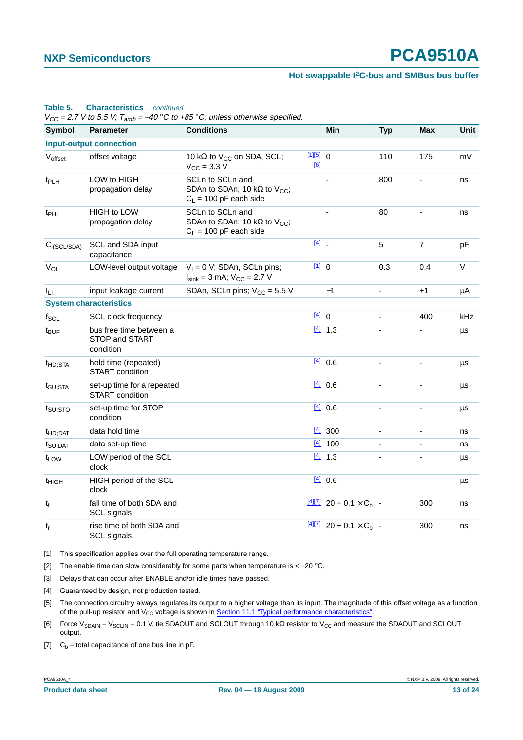#### **Hot swappable I2C-bus and SMBus bus buffer**

#### **Table 5. Characteristics** …continued

 $V_{CC}$  = 2.7 V to 5.5 V;  $T_{amb}$  = -40 °C to +85 °C; unless otherwise specified.

| <b>Symbol</b>       | <b>Parameter</b>                                       | <b>Conditions</b>                                                                                |                 | Min                                             | <b>Typ</b>     | <b>Max</b>               | Unit |
|---------------------|--------------------------------------------------------|--------------------------------------------------------------------------------------------------|-----------------|-------------------------------------------------|----------------|--------------------------|------|
|                     | <b>Input-output connection</b>                         |                                                                                                  |                 |                                                 |                |                          |      |
| Voffset             | offset voltage                                         | 10 k $\Omega$ to V <sub>CC</sub> on SDA, SCL;<br>$V_{\text{CC}} = 3.3 \text{ V}$                 | [1][5] 0<br>[6] |                                                 | 110            | 175                      | mV   |
| t <sub>PLH</sub>    | LOW to HIGH<br>propagation delay                       | SCLn to SCLn and<br>SDAn to SDAn; 10 k $\Omega$ to V <sub>CC</sub> ;<br>$C_L$ = 100 pF each side |                 |                                                 | 800            |                          | ns   |
| t <sub>PHL</sub>    | <b>HIGH to LOW</b><br>propagation delay                | SCLn to SCLn and<br>SDAn to SDAn; 10 k $\Omega$ to V <sub>CC</sub> ;<br>$C_L$ = 100 pF each side |                 |                                                 | 80             |                          | ns   |
| $C_{i(SCL/SDA)}$    | SCL and SDA input<br>capacitance                       |                                                                                                  | $[4]$ .         |                                                 | 5              | $\overline{7}$           | pF   |
| $V_{OL}$            | LOW-level output voltage                               | $V_1 = 0$ V; SDAn, SCLn pins;<br>$I_{\text{sink}} = 3$ mA; $V_{\text{CC}} = 2.7$ V               | $[1] 0$         |                                                 | 0.3            | 0.4                      | V    |
| Iц                  | input leakage current                                  | SDAn, SCLn pins; $V_{CC}$ = 5.5 V                                                                |                 | $-1$                                            | $\blacksquare$ | $+1$                     | μA   |
|                     | <b>System characteristics</b>                          |                                                                                                  |                 |                                                 |                |                          |      |
| $f_{SCL}$           | <b>SCL clock frequency</b>                             |                                                                                                  | [4] 0           |                                                 |                | 400                      | kHz  |
| t <sub>BUF</sub>    | bus free time between a<br>STOP and START<br>condition |                                                                                                  |                 | $[4]$ 1.3                                       |                |                          | μs   |
| <sup>t</sup> HD;STA | hold time (repeated)<br>START condition                |                                                                                                  |                 | [4] 0.6                                         |                |                          | μs   |
| $t_{\text{SU;STA}}$ | set-up time for a repeated<br>START condition          |                                                                                                  |                 | [4] 0.6                                         |                |                          | μs   |
| t <sub>SU;STO</sub> | set-up time for STOP<br>condition                      |                                                                                                  |                 | [4] 0.6                                         | $\blacksquare$ | ÷,                       | μs   |
| t <sub>HD;DAT</sub> | data hold time                                         |                                                                                                  |                 | $\frac{[4]}{[4]}$ 300                           |                | $\blacksquare$           | ns   |
| $t_{\text{SU;DAT}}$ | data set-up time                                       |                                                                                                  | $[4]$           | 100                                             |                | $\overline{\phantom{a}}$ | ns   |
| t <sub>LOW</sub>    | LOW period of the SCL<br>clock                         |                                                                                                  |                 | $[4]$ 1.3                                       |                |                          | μs   |
| t <sub>HIGH</sub>   | HIGH period of the SCL<br>clock                        |                                                                                                  |                 | [4] 0.6                                         |                | $\overline{\phantom{a}}$ | μs   |
| $t_f$               | fall time of both SDA and<br>SCL signals               |                                                                                                  |                 | $\frac{[4][7]}{20 + 0.1 \times C_b}$ -          |                | 300                      | ns   |
| $t_{\sf r}$         | rise time of both SDA and<br>SCL signals               |                                                                                                  |                 | $\frac{[4][7]}{20}$ 20 + 0.1 × C <sub>b</sub> - |                | 300                      | ns   |

<span id="page-12-0"></span>[1] This specification applies over the full operating temperature range.

<span id="page-12-1"></span>[2] The enable time can slow considerably for some parts when temperature is < -20 °C.

<span id="page-12-2"></span>[3] Delays that can occur after ENABLE and/or idle times have passed.

<span id="page-12-3"></span>[4] Guaranteed by design, not production tested.

<span id="page-12-4"></span>[5] The connection circuitry always regulates its output to a higher voltage than its input. The magnitude of this offset voltage as a function of the pull-up resistor and V<sub>CC</sub> voltage is shown in [Section 11.1 "Typical performance characteristics"](#page-13-0).

<span id="page-12-5"></span>[6] Force V<sub>SDAIN</sub> = V<sub>SCLIN</sub> = 0.1 V, tie SDAOUT and SCLOUT through 10 kΩ resistor to V<sub>CC</sub> and measure the SDAOUT and SCLOUT output.

<span id="page-12-6"></span>[7]  $C_b$  = total capacitance of one bus line in pF.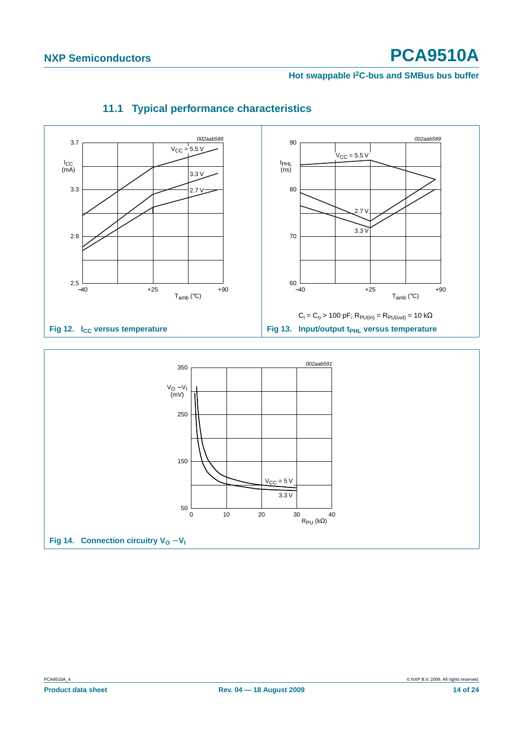#### **Hot swappable I2C-bus and SMBus bus buffer**

<span id="page-13-0"></span>

# **11.1 Typical performance characteristics**

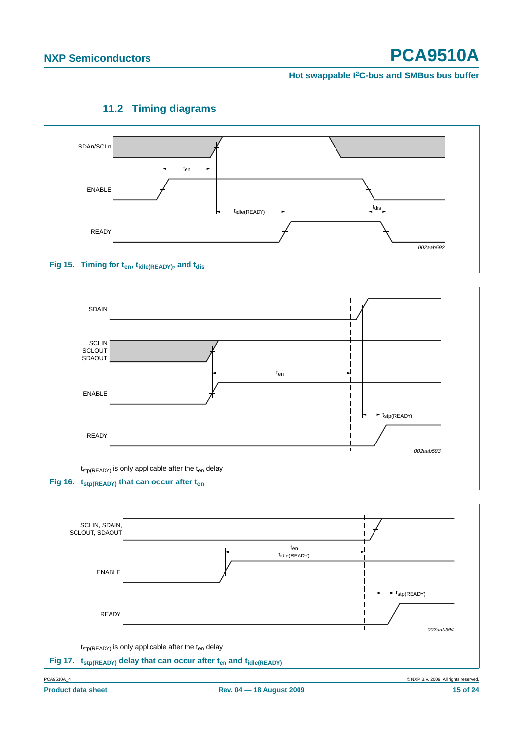#### **Hot swappable I2C-bus and SMBus bus buffer**

<span id="page-14-0"></span>

### **11.2 Timing diagrams**

### Fig 15. Timing for t<sub>en</sub>, t<sub>idle(READY)</sub>, and t<sub>dis</sub>





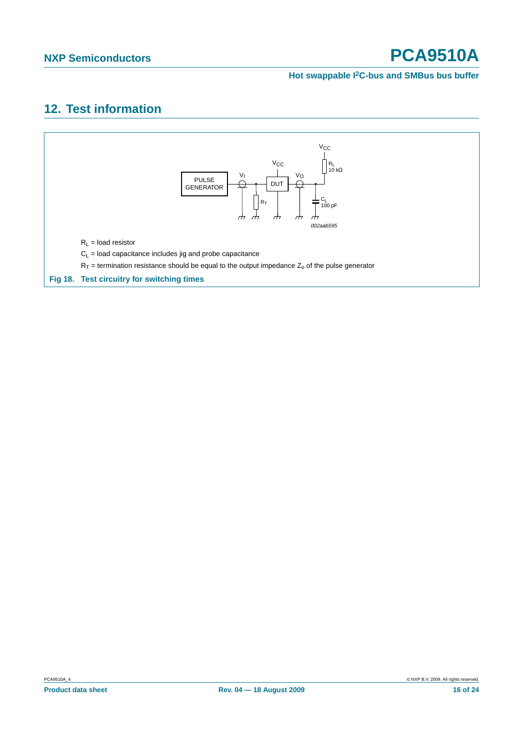#### **Hot swappable I2C-bus and SMBus bus buffer**

# <span id="page-15-0"></span>**12. Test information**

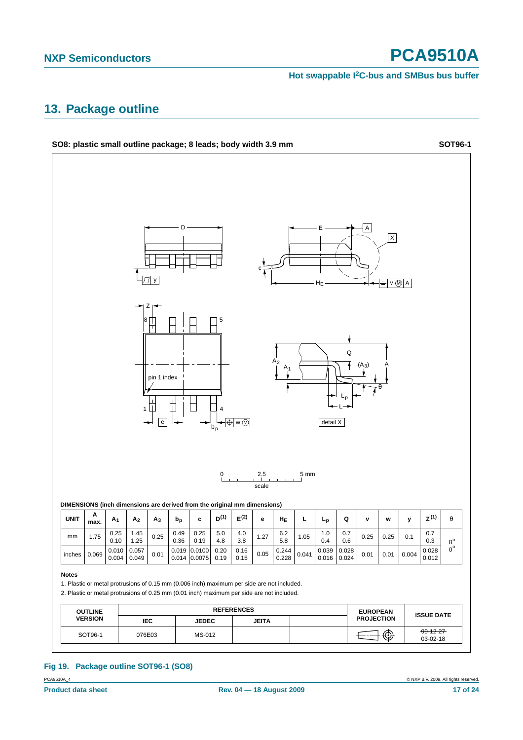**Hot swappable I2C-bus and SMBus bus buffer**

### <span id="page-16-0"></span>**13. Package outline**



### **Fig 19. Package outline SOT96-1 (SO8)**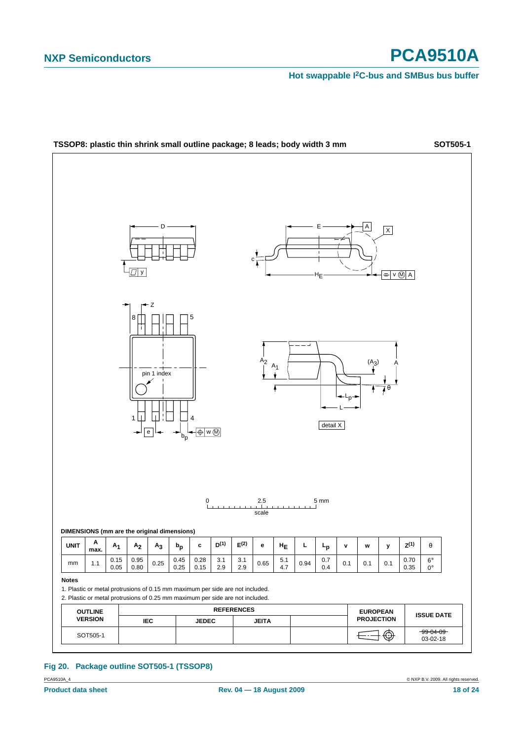#### **Hot swappable I2C-bus and SMBus bus buffer**



PCA9510A\_4 © NXP B.V. 2009. All rights reserved. **Fig 20. Package outline SOT505-1 (TSSOP8)**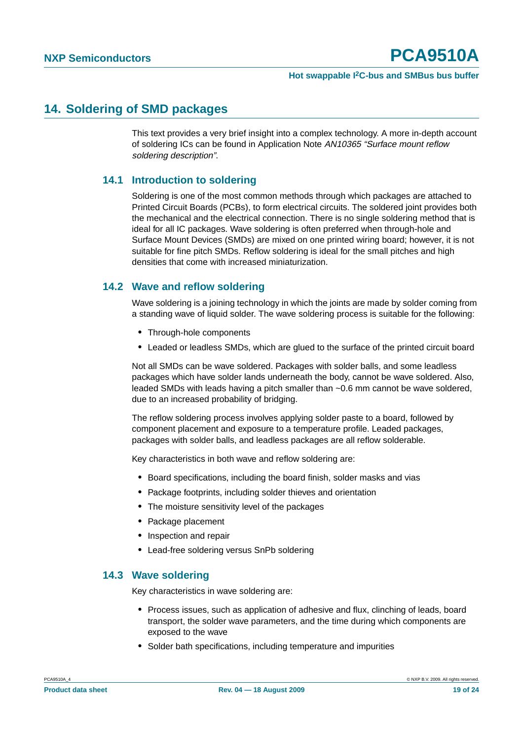### <span id="page-18-0"></span>**14. Soldering of SMD packages**

This text provides a very brief insight into a complex technology. A more in-depth account of soldering ICs can be found in Application Note AN10365 "Surface mount reflow soldering description".

#### <span id="page-18-1"></span>**14.1 Introduction to soldering**

Soldering is one of the most common methods through which packages are attached to Printed Circuit Boards (PCBs), to form electrical circuits. The soldered joint provides both the mechanical and the electrical connection. There is no single soldering method that is ideal for all IC packages. Wave soldering is often preferred when through-hole and Surface Mount Devices (SMDs) are mixed on one printed wiring board; however, it is not suitable for fine pitch SMDs. Reflow soldering is ideal for the small pitches and high densities that come with increased miniaturization.

#### <span id="page-18-2"></span>**14.2 Wave and reflow soldering**

Wave soldering is a joining technology in which the joints are made by solder coming from a standing wave of liquid solder. The wave soldering process is suitable for the following:

- **•** Through-hole components
- **•** Leaded or leadless SMDs, which are glued to the surface of the printed circuit board

Not all SMDs can be wave soldered. Packages with solder balls, and some leadless packages which have solder lands underneath the body, cannot be wave soldered. Also, leaded SMDs with leads having a pitch smaller than ~0.6 mm cannot be wave soldered, due to an increased probability of bridging.

The reflow soldering process involves applying solder paste to a board, followed by component placement and exposure to a temperature profile. Leaded packages, packages with solder balls, and leadless packages are all reflow solderable.

Key characteristics in both wave and reflow soldering are:

- **•** Board specifications, including the board finish, solder masks and vias
- **•** Package footprints, including solder thieves and orientation
- **•** The moisture sensitivity level of the packages
- **•** Package placement
- **•** Inspection and repair
- **•** Lead-free soldering versus SnPb soldering

#### <span id="page-18-3"></span>**14.3 Wave soldering**

Key characteristics in wave soldering are:

- **•** Process issues, such as application of adhesive and flux, clinching of leads, board transport, the solder wave parameters, and the time during which components are exposed to the wave
- **•** Solder bath specifications, including temperature and impurities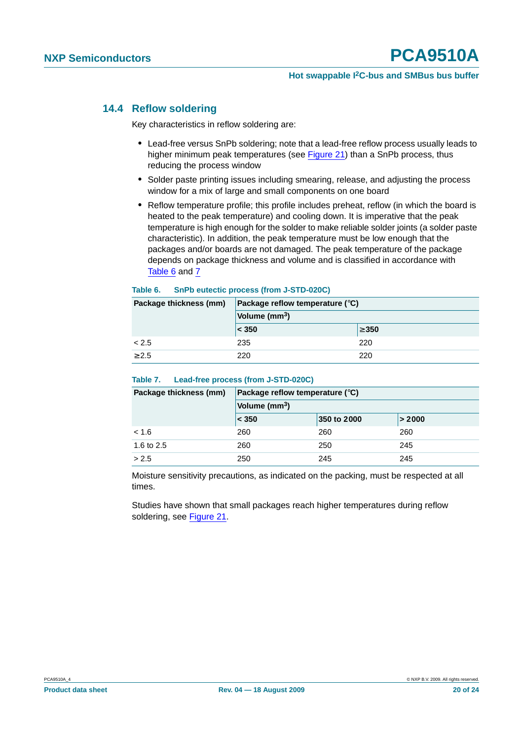#### <span id="page-19-0"></span>**14.4 Reflow soldering**

Key characteristics in reflow soldering are:

- **•** Lead-free versus SnPb soldering; note that a lead-free reflow process usually leads to higher minimum peak temperatures (see Figure 21) than a SnPb process, thus reducing the process window
- **•** Solder paste printing issues including smearing, release, and adjusting the process window for a mix of large and small components on one board
- **•** Reflow temperature profile; this profile includes preheat, reflow (in which the board is heated to the peak temperature) and cooling down. It is imperative that the peak temperature is high enough for the solder to make reliable solder joints (a solder paste characteristic). In addition, the peak temperature must be low enough that the packages and/or boards are not damaged. The peak temperature of the package depends on package thickness and volume and is classified in accordance with Table 6 and 7

#### **Table 6. SnPb eutectic process (from J-STD-020C)**

| Package thickness (mm) | Package reflow temperature $(^\circ \text{C})$ |            |
|------------------------|------------------------------------------------|------------|
|                        | Volume (mm <sup>3</sup> )                      |            |
|                        | $ <$ 350                                       | $\geq 350$ |
| < 2.5                  | 235                                            | 220        |
| > 2.5                  | 220                                            | 220        |

#### **Table 7. Lead-free process (from J-STD-020C)**

| Package thickness (mm) | Package reflow temperature $(^\circ \text{C})$ |             |        |  |
|------------------------|------------------------------------------------|-------------|--------|--|
|                        | Volume (mm <sup>3</sup> )                      |             |        |  |
|                        | $ <$ 350                                       | 350 to 2000 | > 2000 |  |
| < 1.6                  | 260                                            | 260         | 260    |  |
| 1.6 to 2.5             | 260                                            | 250         | 245    |  |
| > 2.5                  | 250                                            | 245         | 245    |  |

Moisture sensitivity precautions, as indicated on the packing, must be respected at all times.

Studies have shown that small packages reach higher temperatures during reflow soldering, see Figure 21.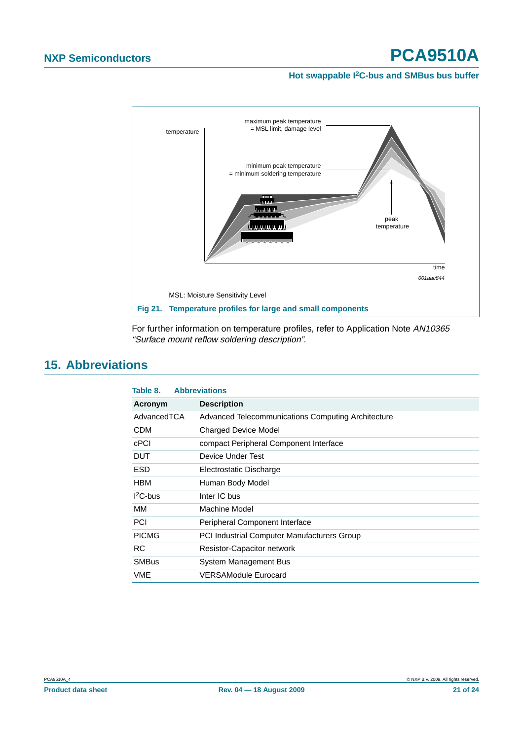#### **Hot swappable I2C-bus and SMBus bus buffer**



For further information on temperature profiles, refer to Application Note AN10365 "Surface mount reflow soldering description".

### <span id="page-20-0"></span>**15. Abbreviations**

| Table 8.     | <b>Abbreviations</b>                               |
|--------------|----------------------------------------------------|
| Acronym      | <b>Description</b>                                 |
| AdvancedTCA  | Advanced Telecommunications Computing Architecture |
| <b>CDM</b>   | <b>Charged Device Model</b>                        |
| cPCI         | compact Peripheral Component Interface             |
| DUT          | Device Under Test                                  |
| <b>ESD</b>   | Electrostatic Discharge                            |
| <b>HBM</b>   | Human Body Model                                   |
| $12C$ -bus   | Inter IC bus                                       |
| MМ           | Machine Model                                      |
| <b>PCI</b>   | Peripheral Component Interface                     |
| <b>PICMG</b> | <b>PCI Industrial Computer Manufacturers Group</b> |
| <b>RC</b>    | Resistor-Capacitor network                         |
| <b>SMBus</b> | System Management Bus                              |
| VME          | <b>VERSAModule Eurocard</b>                        |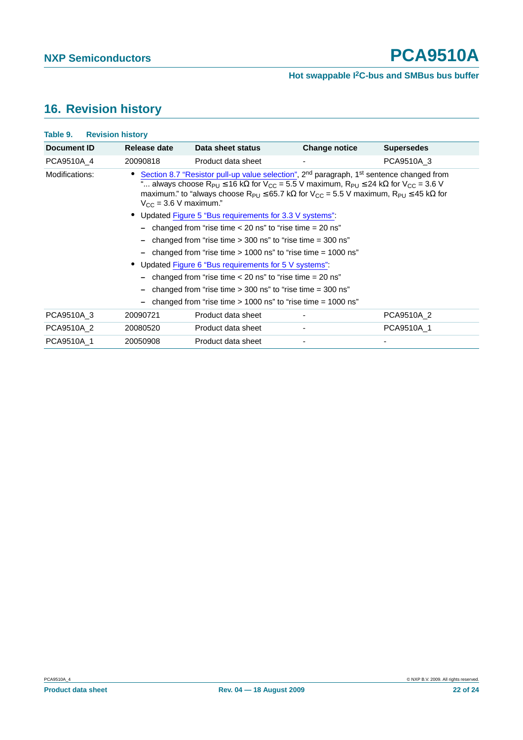# <span id="page-21-0"></span>**16. Revision history**

| Table 9.       | <b>Revision history</b>                                       |                                                                                                                                                                                                                                                                                                                                                                                                                                                                                     |                      |                   |
|----------------|---------------------------------------------------------------|-------------------------------------------------------------------------------------------------------------------------------------------------------------------------------------------------------------------------------------------------------------------------------------------------------------------------------------------------------------------------------------------------------------------------------------------------------------------------------------|----------------------|-------------------|
| Document ID    | Release date                                                  | Data sheet status                                                                                                                                                                                                                                                                                                                                                                                                                                                                   | <b>Change notice</b> | <b>Supersedes</b> |
| PCA9510A 4     | 20090818                                                      | Product data sheet                                                                                                                                                                                                                                                                                                                                                                                                                                                                  | ٠                    | PCA9510A 3        |
| Modifications: |                                                               | Section 8.7 "Resistor pull-up value selection", 2 <sup>nd</sup> paragraph, 1 <sup>st</sup> sentence changed from<br>" always choose R <sub>PU</sub> $\leq$ 16 kΩ for V <sub>CC</sub> = 5.5 V maximum, R <sub>PU</sub> $\leq$ 24 kΩ for V <sub>CC</sub> = 3.6 V<br>maximum." to "always choose $R_{P1} \le 65.7$ k $\Omega$ for $V_{CC} = 5.5$ V maximum, $R_{P1} \le 45$ k $\Omega$ for<br>$V_{\rm CC}$ = 3.6 V maximum."<br>Updated Figure 5 "Bus requirements for 3.3 V systems": |                      |                   |
|                |                                                               | changed from "rise time $<$ 20 ns" to "rise time $=$ 20 ns"                                                                                                                                                                                                                                                                                                                                                                                                                         |                      |                   |
|                | changed from "rise time $>$ 300 ns" to "rise time $=$ 300 ns" |                                                                                                                                                                                                                                                                                                                                                                                                                                                                                     |                      |                   |
|                |                                                               | changed from "rise time $> 1000$ ns" to "rise time $= 1000$ ns"                                                                                                                                                                                                                                                                                                                                                                                                                     |                      |                   |
|                |                                                               | Updated Figure 6 "Bus requirements for 5 V systems".                                                                                                                                                                                                                                                                                                                                                                                                                                |                      |                   |
|                |                                                               | changed from "rise time $<$ 20 ns" to "rise time $=$ 20 ns"                                                                                                                                                                                                                                                                                                                                                                                                                         |                      |                   |
|                |                                                               | changed from "rise time $>$ 300 ns" to "rise time $=$ 300 ns"                                                                                                                                                                                                                                                                                                                                                                                                                       |                      |                   |
|                |                                                               | changed from "rise time $> 1000$ ns" to "rise time $= 1000$ ns"                                                                                                                                                                                                                                                                                                                                                                                                                     |                      |                   |
| PCA9510A 3     | 20090721                                                      | Product data sheet                                                                                                                                                                                                                                                                                                                                                                                                                                                                  |                      | PCA9510A 2        |
| PCA9510A 2     | 20080520                                                      | Product data sheet                                                                                                                                                                                                                                                                                                                                                                                                                                                                  |                      | PCA9510A 1        |
| PCA9510A 1     | 20050908                                                      | Product data sheet                                                                                                                                                                                                                                                                                                                                                                                                                                                                  |                      |                   |
|                |                                                               |                                                                                                                                                                                                                                                                                                                                                                                                                                                                                     |                      |                   |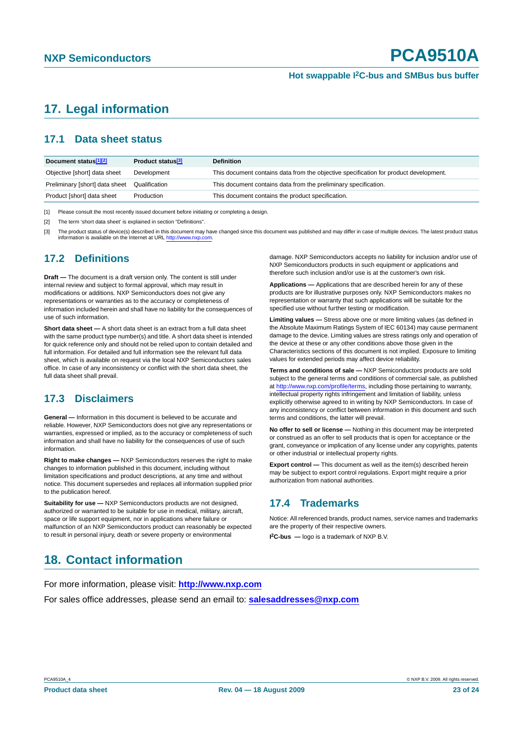# <span id="page-22-0"></span>**17. Legal information**

### <span id="page-22-1"></span>**17.1 Data sheet status**

| Document status <sup>[1][2]</sup> | Product status <sup>[3]</sup> | <b>Definition</b>                                                                     |
|-----------------------------------|-------------------------------|---------------------------------------------------------------------------------------|
| Objective [short] data sheet      | Development                   | This document contains data from the objective specification for product development. |
| Preliminary [short] data sheet    | Qualification                 | This document contains data from the preliminary specification.                       |
| Product [short] data sheet        | Production                    | This document contains the product specification.                                     |

[1] Please consult the most recently issued document before initiating or completing a design.

[2] The term 'short data sheet' is explained in section "Definitions".

[3] The product status of device(s) described in this document may have changed since this document was published and may differ in case of multiple devices. The latest product status information is available on the Internet at URL <http://www.nxp.com>.

#### <span id="page-22-2"></span>**17.2 Definitions**

**Draft —** The document is a draft version only. The content is still under internal review and subject to formal approval, which may result in modifications or additions. NXP Semiconductors does not give any representations or warranties as to the accuracy or completeness of information included herein and shall have no liability for the consequences of use of such information.

**Short data sheet —** A short data sheet is an extract from a full data sheet with the same product type number(s) and title. A short data sheet is intended for quick reference only and should not be relied upon to contain detailed and full information. For detailed and full information see the relevant full data sheet, which is available on request via the local NXP Semiconductors sales office. In case of any inconsistency or conflict with the short data sheet, the full data sheet shall prevail.

#### <span id="page-22-3"></span>**17.3 Disclaimers**

**General —** Information in this document is believed to be accurate and reliable. However, NXP Semiconductors does not give any representations or warranties, expressed or implied, as to the accuracy or completeness of such information and shall have no liability for the consequences of use of such information.

**Right to make changes —** NXP Semiconductors reserves the right to make changes to information published in this document, including without limitation specifications and product descriptions, at any time and without notice. This document supersedes and replaces all information supplied prior to the publication hereof.

**Suitability for use - NXP** Semiconductors products are not designed, authorized or warranted to be suitable for use in medical, military, aircraft, space or life support equipment, nor in applications where failure or malfunction of an NXP Semiconductors product can reasonably be expected to result in personal injury, death or severe property or environmental

damage. NXP Semiconductors accepts no liability for inclusion and/or use of NXP Semiconductors products in such equipment or applications and therefore such inclusion and/or use is at the customer's own risk.

**Applications —** Applications that are described herein for any of these products are for illustrative purposes only. NXP Semiconductors makes no representation or warranty that such applications will be suitable for the specified use without further testing or modification.

**Limiting values —** Stress above one or more limiting values (as defined in the Absolute Maximum Ratings System of IEC 60134) may cause permanent damage to the device. Limiting values are stress ratings only and operation of the device at these or any other conditions above those given in the Characteristics sections of this document is not implied. Exposure to limiting values for extended periods may affect device reliability.

**Terms and conditions of sale —** NXP Semiconductors products are sold subject to the general terms and conditions of commercial sale, as published at <http://www.nxp.com/profile/terms>, including those pertaining to warranty, intellectual property rights infringement and limitation of liability, unless explicitly otherwise agreed to in writing by NXP Semiconductors. In case of any inconsistency or conflict between information in this document and such terms and conditions, the latter will prevail.

**No offer to sell or license —** Nothing in this document may be interpreted or construed as an offer to sell products that is open for acceptance or the grant, conveyance or implication of any license under any copyrights, patents or other industrial or intellectual property rights.

**Export control —** This document as well as the item(s) described herein may be subject to export control regulations. Export might require a prior authorization from national authorities.

#### <span id="page-22-4"></span>**17.4 Trademarks**

Notice: All referenced brands, product names, service names and trademarks are the property of their respective owners.

**I 2C-bus —** logo is a trademark of NXP B.V.

# <span id="page-22-5"></span>**18. Contact information**

For more information, please visit: **http://www.nxp.com**

For sales office addresses, please send an email to: **salesaddresses@nxp.com**